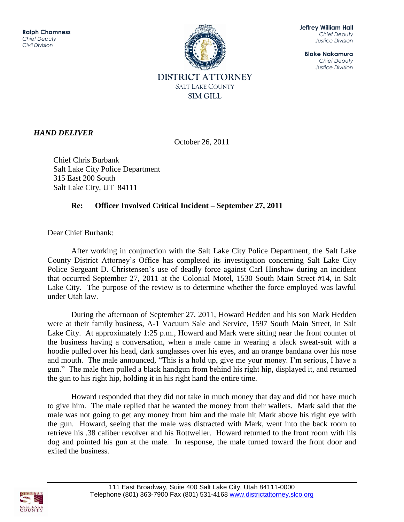

**Jeffrey William Hall** *Chief Deputy Justice Division*

**Blake Nakamura** *Chief Deputy Justice Division*

## *HAND DELIVER*

October 26, 2011

 Chief Chris Burbank Salt Lake City Police Department 315 East 200 South Salt Lake City, UT 84111

## **Re: Officer Involved Critical Incident – September 27, 2011**

Dear Chief Burbank:

After working in conjunction with the Salt Lake City Police Department, the Salt Lake County District Attorney's Office has completed its investigation concerning Salt Lake City Police Sergeant D. Christensen's use of deadly force against Carl Hinshaw during an incident that occurred September 27, 2011 at the Colonial Motel, 1530 South Main Street #14, in Salt Lake City. The purpose of the review is to determine whether the force employed was lawful under Utah law.

 During the afternoon of September 27, 2011, Howard Hedden and his son Mark Hedden were at their family business, A-1 Vacuum Sale and Service, 1597 South Main Street, in Salt Lake City. At approximately 1:25 p.m., Howard and Mark were sitting near the front counter of the business having a conversation, when a male came in wearing a black sweat-suit with a hoodie pulled over his head, dark sunglasses over his eyes, and an orange bandana over his nose and mouth. The male announced, "This is a hold up, give me your money. I'm serious, I have a gun." The male then pulled a black handgun from behind his right hip, displayed it, and returned the gun to his right hip, holding it in his right hand the entire time.

Howard responded that they did not take in much money that day and did not have much to give him. The male replied that he wanted the money from their wallets. Mark said that the male was not going to get any money from him and the male hit Mark above his right eye with the gun. Howard, seeing that the male was distracted with Mark, went into the back room to retrieve his .38 caliber revolver and his Rottweiler. Howard returned to the front room with his dog and pointed his gun at the male. In response, the male turned toward the front door and exited the business.

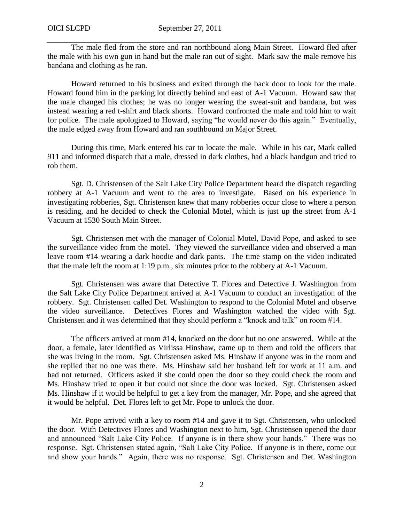The male fled from the store and ran northbound along Main Street. Howard fled after the male with his own gun in hand but the male ran out of sight. Mark saw the male remove his bandana and clothing as he ran.

Howard returned to his business and exited through the back door to look for the male. Howard found him in the parking lot directly behind and east of A-1 Vacuum. Howard saw that the male changed his clothes; he was no longer wearing the sweat-suit and bandana, but was instead wearing a red t-shirt and black shorts. Howard confronted the male and told him to wait for police. The male apologized to Howard, saying "he would never do this again." Eventually, the male edged away from Howard and ran southbound on Major Street.

During this time, Mark entered his car to locate the male. While in his car, Mark called 911 and informed dispatch that a male, dressed in dark clothes, had a black handgun and tried to rob them.

Sgt. D. Christensen of the Salt Lake City Police Department heard the dispatch regarding robbery at A-1 Vacuum and went to the area to investigate. Based on his experience in investigating robberies, Sgt. Christensen knew that many robberies occur close to where a person is residing, and he decided to check the Colonial Motel, which is just up the street from A-1 Vacuum at 1530 South Main Street.

Sgt. Christensen met with the manager of Colonial Motel, David Pope, and asked to see the surveillance video from the motel. They viewed the surveillance video and observed a man leave room #14 wearing a dark hoodie and dark pants. The time stamp on the video indicated that the male left the room at 1:19 p.m., six minutes prior to the robbery at A-1 Vacuum.

Sgt. Christensen was aware that Detective T. Flores and Detective J. Washington from the Salt Lake City Police Department arrived at A-1 Vacuum to conduct an investigation of the robbery. Sgt. Christensen called Det. Washington to respond to the Colonial Motel and observe the video surveillance. Detectives Flores and Washington watched the video with Sgt. Christensen and it was determined that they should perform a "knock and talk" on room #14.

The officers arrived at room #14, knocked on the door but no one answered. While at the door, a female, later identified as Virlissa Hinshaw, came up to them and told the officers that she was living in the room. Sgt. Christensen asked Ms. Hinshaw if anyone was in the room and she replied that no one was there. Ms. Hinshaw said her husband left for work at 11 a.m. and had not returned. Officers asked if she could open the door so they could check the room and Ms. Hinshaw tried to open it but could not since the door was locked. Sgt. Christensen asked Ms. Hinshaw if it would be helpful to get a key from the manager, Mr. Pope, and she agreed that it would be helpful. Det. Flores left to get Mr. Pope to unlock the door.

Mr. Pope arrived with a key to room #14 and gave it to Sgt. Christensen, who unlocked the door. With Detectives Flores and Washington next to him, Sgt. Christensen opened the door and announced "Salt Lake City Police. If anyone is in there show your hands." There was no response. Sgt. Christensen stated again, "Salt Lake City Police. If anyone is in there, come out and show your hands." Again, there was no response. Sgt. Christensen and Det. Washington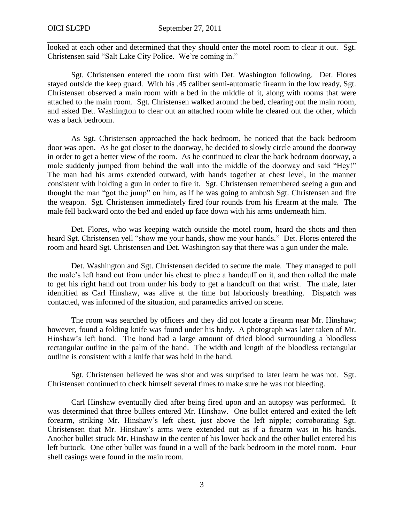looked at each other and determined that they should enter the motel room to clear it out. Sgt. Christensen said "Salt Lake City Police. We're coming in."

Sgt. Christensen entered the room first with Det. Washington following. Det. Flores stayed outside the keep guard. With his .45 caliber semi-automatic firearm in the low ready, Sgt. Christensen observed a main room with a bed in the middle of it, along with rooms that were attached to the main room. Sgt. Christensen walked around the bed, clearing out the main room, and asked Det. Washington to clear out an attached room while he cleared out the other, which was a back bedroom.

As Sgt. Christensen approached the back bedroom, he noticed that the back bedroom door was open. As he got closer to the doorway, he decided to slowly circle around the doorway in order to get a better view of the room. As he continued to clear the back bedroom doorway, a male suddenly jumped from behind the wall into the middle of the doorway and said "Hey!" The man had his arms extended outward, with hands together at chest level, in the manner consistent with holding a gun in order to fire it. Sgt. Christensen remembered seeing a gun and thought the man "got the jump" on him, as if he was going to ambush Sgt. Christensen and fire the weapon. Sgt. Christensen immediately fired four rounds from his firearm at the male. The male fell backward onto the bed and ended up face down with his arms underneath him.

Det. Flores, who was keeping watch outside the motel room, heard the shots and then heard Sgt. Christensen yell "show me your hands, show me your hands." Det. Flores entered the room and heard Sgt. Christensen and Det. Washington say that there was a gun under the male.

Det. Washington and Sgt. Christensen decided to secure the male. They managed to pull the male's left hand out from under his chest to place a handcuff on it, and then rolled the male to get his right hand out from under his body to get a handcuff on that wrist. The male, later identified as Carl Hinshaw, was alive at the time but laboriously breathing. Dispatch was contacted, was informed of the situation, and paramedics arrived on scene.

The room was searched by officers and they did not locate a firearm near Mr. Hinshaw; however, found a folding knife was found under his body. A photograph was later taken of Mr. Hinshaw's left hand. The hand had a large amount of dried blood surrounding a bloodless rectangular outline in the palm of the hand. The width and length of the bloodless rectangular outline is consistent with a knife that was held in the hand.

Sgt. Christensen believed he was shot and was surprised to later learn he was not. Sgt. Christensen continued to check himself several times to make sure he was not bleeding.

Carl Hinshaw eventually died after being fired upon and an autopsy was performed. It was determined that three bullets entered Mr. Hinshaw. One bullet entered and exited the left forearm, striking Mr. Hinshaw's left chest, just above the left nipple; corroborating Sgt. Christensen that Mr. Hinshaw's arms were extended out as if a firearm was in his hands. Another bullet struck Mr. Hinshaw in the center of his lower back and the other bullet entered his left buttock. One other bullet was found in a wall of the back bedroom in the motel room. Four shell casings were found in the main room.